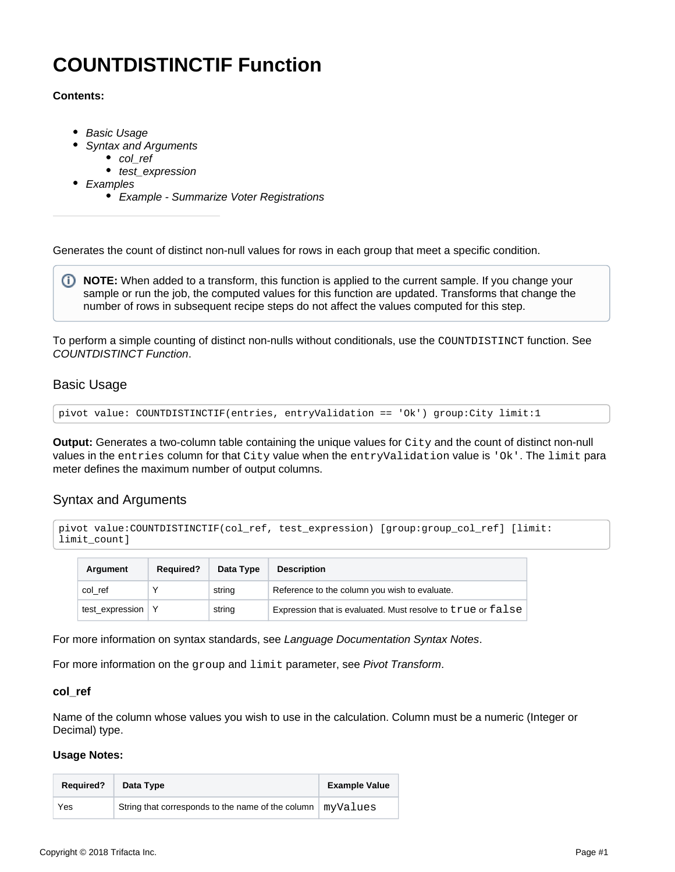# <span id="page-0-4"></span>**COUNTDISTINCTIF Function**

## **Contents:**

- [Basic Usage](#page-0-0)
	- [Syntax and Arguments](#page-0-1)
		- [col\\_ref](#page-0-2)
		- test expression
- [Examples](#page-1-0)
	- [Example Summarize Voter Registrations](#page-1-1)

Generates the count of distinct non-null values for rows in each group that meet a specific condition.

**NOTE:** When added to a transform, this function is applied to the current sample. If you change your sample or run the job, the computed values for this function are updated. Transforms that change the number of rows in subsequent recipe steps do not affect the values computed for this step.

To perform a simple counting of distinct non-nulls without conditionals, use the COUNTDISTINCT function. See [COUNTDISTINCT Function](https://docs.trifacta.com/display/r051/COUNTDISTINCT+Function).

# <span id="page-0-0"></span>Basic Usage

```
pivot value: COUNTDISTINCTIF(entries, entryValidation == 'Ok') group:City limit:1
```
**Output:** Generates a two-column table containing the unique values for City and the count of distinct non-null values in the entries column for that City value when the entryValidation value is 'Ok'. The limit para meter defines the maximum number of output columns.

# <span id="page-0-1"></span>Syntax and Arguments

```
pivot value:COUNTDISTINCTIF(col_ref, test_expression) [group:group_col_ref] [limit:
limit_count]
```

| Argument            | <b>Required?</b> | Data Type | <b>Description</b>                                          |
|---------------------|------------------|-----------|-------------------------------------------------------------|
| col ref             |                  | string    | Reference to the column you wish to evaluate.               |
| test_expression   Y |                  | string    | Expression that is evaluated. Must resolve to true or false |

For more information on syntax standards, see [Language Documentation Syntax Notes](https://docs.trifacta.com/display/r051/Language+Documentation+Syntax+Notes).

For more information on the group and limit parameter, see [Pivot Transform](https://docs.trifacta.com/display/r051/Pivot+Transform).

#### <span id="page-0-2"></span>**col\_ref**

Name of the column whose values you wish to use in the calculation. Column must be a numeric (Integer or Decimal) type.

#### **Usage Notes:**

<span id="page-0-3"></span>

| <b>Required?</b> | Data Type                                         | <b>Example Value</b> |
|------------------|---------------------------------------------------|----------------------|
| Yes              | String that corresponds to the name of the column | myValues             |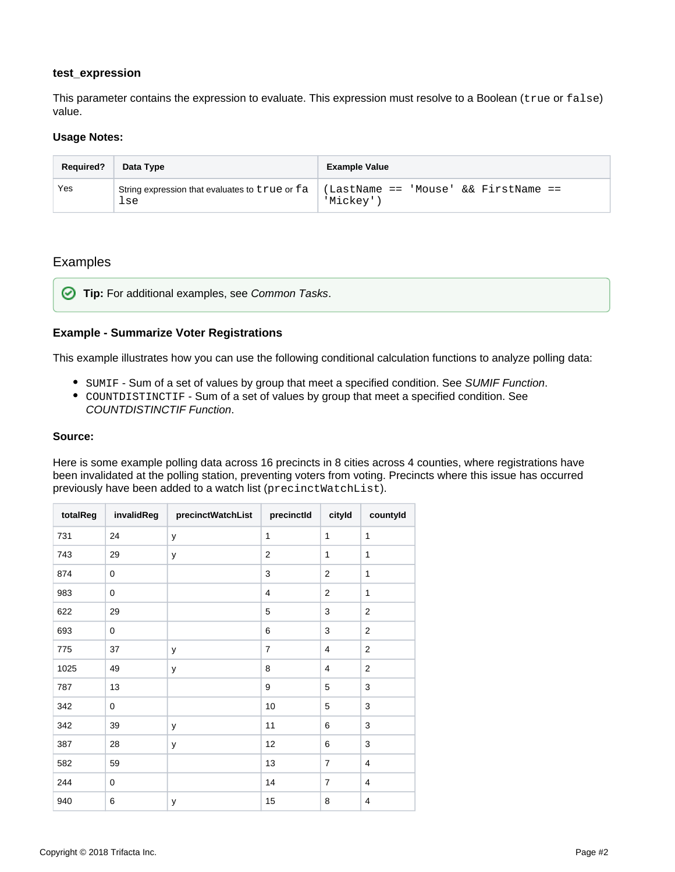# **test\_expression**

This parameter contains the expression to evaluate. This expression must resolve to a Boolean (true or false) value.

#### **Usage Notes:**

| <b>Required?</b> | Data Type                                             | <b>Example Value</b>                              |
|------------------|-------------------------------------------------------|---------------------------------------------------|
| Yes              | String expression that evaluates to true or fa<br>lse | (LastName == 'Mouse' && FirstName ==<br>'Mickev') |

# <span id="page-1-0"></span>Examples

**Tip:** For additional examples, see [Common Tasks](https://docs.trifacta.com/display/r051/Common+Tasks).

## <span id="page-1-1"></span>**Example - Summarize Voter Registrations**

This example illustrates how you can use the following conditional calculation functions to analyze polling data:

- SUMIF Sum of a set of values by group that meet a specified condition. See [SUMIF Function](https://docs.trifacta.com/display/r051/SUMIF+Function).
- COUNTDISTINCTIF Sum of a set of values by group that meet a specified condition. See [COUNTDISTINCTIF Function](#page-0-4).

#### **Source:**

Here is some example polling data across 16 precincts in 8 cities across 4 counties, where registrations have been invalidated at the polling station, preventing voters from voting. Precincts where this issue has occurred previously have been added to a watch list (precinctWatchList).

| totalReg | invalidReg  | precinctWatchList | precinctId     | cityld         | countyld                |
|----------|-------------|-------------------|----------------|----------------|-------------------------|
| 731      | 24          | y                 | $\mathbf{1}$   | $\mathbf{1}$   | $\mathbf{1}$            |
| 743      | 29          | у                 | $\overline{2}$ | $\mathbf{1}$   | 1                       |
| 874      | $\mathbf 0$ |                   | 3              | $\overline{2}$ | 1                       |
| 983      | $\mathbf 0$ |                   | 4              | $\overline{2}$ | 1                       |
| 622      | 29          |                   | 5              | 3              | $\overline{2}$          |
| 693      | $\mathbf 0$ |                   | 6              | 3              | $\mathbf{2}$            |
| 775      | 37          | y                 | $\overline{7}$ | 4              | $\mathbf{2}$            |
| 1025     | 49          | у                 | 8              | 4              | $\overline{c}$          |
| 787      | 13          |                   | 9              | 5              | 3                       |
| 342      | $\pmb{0}$   |                   | 10             | 5              | 3                       |
| 342      | 39          | у                 | 11             | 6              | 3                       |
| 387      | 28          | у                 | 12             | 6              | 3                       |
| 582      | 59          |                   | 13             | $\overline{7}$ | 4                       |
| 244      | $\mathbf 0$ |                   | 14             | $\overline{7}$ | $\overline{\mathbf{4}}$ |
| 940      | 6           | у                 | 15             | 8              | $\overline{4}$          |